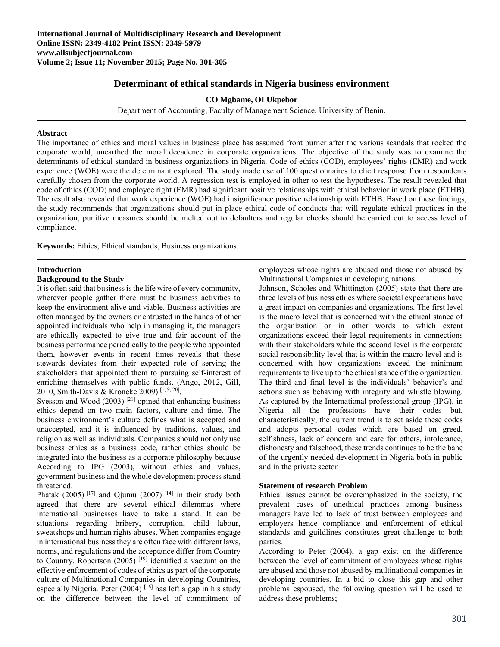# **Determinant of ethical standards in Nigeria business environment**

**CO Mgbame, OI Ukpebor** 

Department of Accounting, Faculty of Management Science, University of Benin.

### **Abstract**

The importance of ethics and moral values in business place has assumed front burner after the various scandals that rocked the corporate world, unearthed the moral decadence in corporate organizations. The objective of the study was to examine the determinants of ethical standard in business organizations in Nigeria. Code of ethics (COD), employees' rights (EMR) and work experience (WOE) were the determinant explored. The study made use of 100 questionnaires to elicit response from respondents carefully chosen from the corporate world. A regression test is employed in other to test the hypotheses. The result revealed that code of ethics (COD) and employee right (EMR) had significant positive relationships with ethical behavior in work place (ETHB). The result also revealed that work experience (WOE) had insignificance positive relationship with ETHB. Based on these findings, the study recommends that organizations should put in place ethical code of conducts that will regulate ethical practices in the organization, punitive measures should be melted out to defaulters and regular checks should be carried out to access level of compliance.

**Keywords:** Ethics, Ethical standards, Business organizations.

# **Introduction**

# **Background to the Study**

It is often said that business is the life wire of every community, wherever people gather there must be business activities to keep the environment alive and viable. Business activities are often managed by the owners or entrusted in the hands of other appointed individuals who help in managing it, the managers are ethically expected to give true and fair account of the business performance periodically to the people who appointed them, however events in recent times reveals that these stewards deviates from their expected role of serving the stakeholders that appointed them to pursuing self-interest of enriching themselves with public funds. (Ango, 2012, Gill, 2010, Smith-Davis & Kroncke 2009) [1, 9, 20].

Svesson and Wood  $(2003)$ <sup>[21]</sup> opined that enhancing business ethics depend on two main factors, culture and time. The business environment's culture defines what is accepted and unaccepted, and it is influenced by traditions, values, and religion as well as individuals. Companies should not only use business ethics as a business code, rather ethics should be integrated into the business as a corporate philosophy because According to IPG (2003), without ethics and values, government business and the whole development process stand threatened.

Phatak (2005)<sup>[17]</sup> and Ojumu (2007)<sup>[14]</sup> in their study both agreed that there are several ethical dilemmas where international businesses have to take a stand. It can be situations regarding bribery, corruption, child labour, sweatshops and human rights abuses. When companies engage in international business they are often face with different laws, norms, and regulations and the acceptance differ from Country to Country. Robertson (2005)<sup>[19]</sup> identified a vacuum on the effective enforcement of codes of ethics as part of the corporate culture of Multinational Companies in developing Countries, especially Nigeria. Peter  $(2004)$  [16] has left a gap in his study on the difference between the level of commitment of employees whose rights are abused and those not abused by Multinational Companies in developing nations.

Johnson, Scholes and Whittington (2005) state that there are three levels of business ethics where societal expectations have a great impact on companies and organizations. The first level is the macro level that is concerned with the ethical stance of the organization or in other words to which extent organizations exceed their legal requirements in connections with their stakeholders while the second level is the corporate social responsibility level that is within the macro level and is concerned with how organizations exceed the minimum requirements to live up to the ethical stance of the organization. The third and final level is the individuals' behavior's and actions such as behaving with integrity and whistle blowing. As captured by the International professional group (IPG), in Nigeria all the professions have their codes but, characteristically, the current trend is to set aside these codes and adopts personal codes which are based on greed, selfishness, lack of concern and care for others, intolerance, dishonesty and falsehood, these trends continues to be the bane of the urgently needed development in Nigeria both in public and in the private sector

### **Statement of research Problem**

Ethical issues cannot be overemphasized in the society, the prevalent cases of unethical practices among business managers have led to lack of trust between employees and employers hence compliance and enforcement of ethical standards and guildlines constitutes great challenge to both parties.

According to Peter (2004), a gap exist on the difference between the level of commitment of employees whose rights are abused and those not abused by multinational companies in developing countries. In a bid to close this gap and other problems espoused, the following question will be used to address these problems;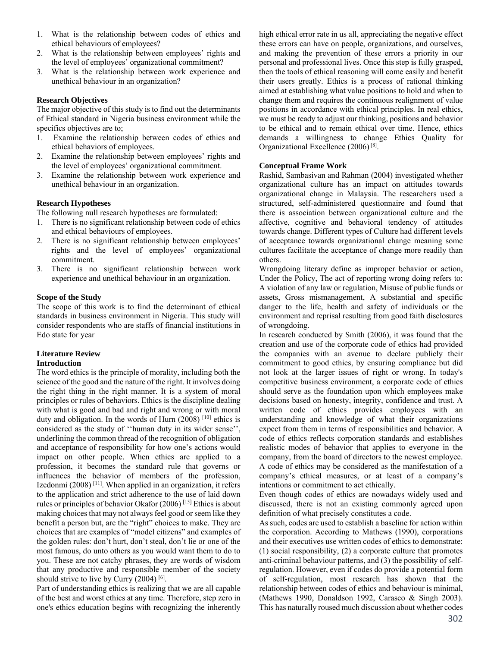- 1. What is the relationship between codes of ethics and ethical behaviours of employees?
- 2. What is the relationship between employees' rights and the level of employees' organizational commitment?
- 3. What is the relationship between work experience and unethical behaviour in an organization?

# **Research Objectives**

The major objective of this study is to find out the determinants of Ethical standard in Nigeria business environment while the specifics objectives are to;

- 1. Examine the relationship between codes of ethics and ethical behaviors of employees.
- 2. Examine the relationship between employees' rights and the level of employees' organizational commitment.
- 3. Examine the relationship between work experience and unethical behaviour in an organization.

# **Research Hypotheses**

The following null research hypotheses are formulated:

- 1. There is no significant relationship between code of ethics and ethical behaviours of employees.
- 2. There is no significant relationship between employees' rights and the level of employees' organizational commitment.
- 3. There is no significant relationship between work experience and unethical behaviour in an organization.

### **Scope of the Study**

The scope of this work is to find the determinant of ethical standards in business environment in Nigeria. This study will consider respondents who are staffs of financial institutions in Edo state for year

# **Literature Review**

# **Introduction**

The word ethics is the principle of morality, including both the science of the good and the nature of the right. It involves doing the right thing in the right manner. It is a system of moral principles or rules of behaviors. Ethics is the discipline dealing with what is good and bad and right and wrong or with moral duty and obligation. In the words of Hurn  $(2008)$  [10] ethics is considered as the study of ''human duty in its wider sense'', underlining the common thread of the recognition of obligation and acceptance of responsibility for how one's actions would impact on other people. When ethics are applied to a profession, it becomes the standard rule that governs or influences the behavior of members of the profession, Izedonmi (2008) [11]. When applied in an organization, it refers to the application and strict adherence to the use of laid down rules or principles of behavior Okafor (2006) [15] Ethics is about making choices that may not always feel good or seem like they benefit a person but, are the "right" choices to make. They are choices that are examples of "model citizens" and examples of the golden rules: don't hurt, don't steal, don't lie or one of the most famous, do unto others as you would want them to do to you. These are not catchy phrases, they are words of wisdom that any productive and responsible member of the society should strive to live by Curry  $(2004)$ <sup>[6]</sup>.

Part of understanding ethics is realizing that we are all capable of the best and worst ethics at any time. Therefore, step zero in one's ethics education begins with recognizing the inherently high ethical error rate in us all, appreciating the negative effect these errors can have on people, organizations, and ourselves, and making the prevention of these errors a priority in our personal and professional lives. Once this step is fully grasped, then the tools of ethical reasoning will come easily and benefit their users greatly. Ethics is a process of rational thinking aimed at establishing what value positions to hold and when to change them and requires the continuous realignment of value positions in accordance with ethical principles. In real ethics, we must be ready to adjust our thinking, positions and behavior to be ethical and to remain ethical over time. Hence*,* ethics demands a willingness to change Ethics Quality for Organizational Excellence (2006) [8].

# **Conceptual Frame Work**

Rashid, Sambasivan and Rahman (2004) investigated whether organizational culture has an impact on attitudes towards organizational change in Malaysia. The researchers used a structured, self-administered questionnaire and found that there is association between organizational culture and the affective, cognitive and behavioral tendency of attitudes towards change. Different types of Culture had different levels of acceptance towards organizational change meaning some cultures facilitate the acceptance of change more readily than others.

Wrongdoing literary define as improper behavior or action, Under the Policy, The act of reporting wrong doing refers to: A violation of any law or regulation, Misuse of public funds or assets, Gross mismanagement, A substantial and specific danger to the life, health and safety of individuals or the environment and reprisal resulting from good faith disclosures of wrongdoing.

In research conducted by Smith (2006), it was found that the creation and use of the corporate code of ethics had provided the companies with an avenue to declare publicly their commitment to good ethics, by ensuring compliance but did not look at the larger issues of right or wrong. In today's competitive business environment, a corporate code of ethics should serve as the foundation upon which employees make decisions based on honesty, integrity, confidence and trust. A written code of ethics provides employees with an understanding and knowledge of what their organizations expect from them in terms of responsibilities and behavior. A code of ethics reflects corporation standards and establishes realistic modes of behavior that applies to everyone in the company, from the board of directors to the newest employee. A code of ethics may be considered as the manifestation of a company's ethical measures, or at least of a company's intentions or commitment to act ethically.

Even though codes of ethics are nowadays widely used and discussed, there is not an existing commonly agreed upon definition of what precisely constitutes a code.

As such, codes are used to establish a baseline for action within the corporation. According to Mathews (1990), corporations and their executives use written codes of ethics to demonstrate: (1) social responsibility, (2) a corporate culture that promotes anti-criminal behaviour patterns, and (3) the possibility of selfregulation. However, even if codes do provide a potential form of self-regulation, most research has shown that the relationship between codes of ethics and behaviour is minimal, (Mathews 1990, Donaldson 1992, Carasco & Singh 2003). This has naturally roused much discussion about whether codes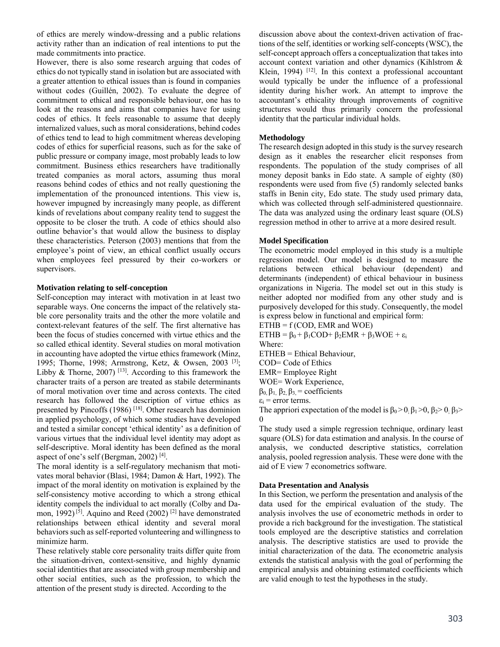of ethics are merely window-dressing and a public relations activity rather than an indication of real intentions to put the made commitments into practice.

However, there is also some research arguing that codes of ethics do not typically stand in isolation but are associated with a greater attention to ethical issues than is found in companies without codes (Guillén, 2002). To evaluate the degree of commitment to ethical and responsible behaviour, one has to look at the reasons and aims that companies have for using codes of ethics. It feels reasonable to assume that deeply internalized values, such as moral considerations, behind codes of ethics tend to lead to high commitment whereas developing codes of ethics for superficial reasons, such as for the sake of public pressure or company image, most probably leads to low commitment. Business ethics researchers have traditionally treated companies as moral actors, assuming thus moral reasons behind codes of ethics and not really questioning the implementation of the pronounced intentions. This view is, however impugned by increasingly many people, as different kinds of revelations about company reality tend to suggest the opposite to be closer the truth. A code of ethics should also outline behavior's that would allow the business to display these characteristics. Peterson (2003) mentions that from the employee's point of view, an ethical conflict usually occurs when employees feel pressured by their co-workers or supervisors.

### **Motivation relating to self-conception**

Self-conception may interact with motivation in at least two separable ways. One concerns the impact of the relatively stable core personality traits and the other the more volatile and context-relevant features of the self. The first alternative has been the focus of studies concerned with virtue ethics and the so called ethical identity. Several studies on moral motivation in accounting have adopted the virtue ethics framework (Minz, 1995; Thorne, 1998; Armstrong, Ketz, & Owsen, 2003 [3]; Libby & Thorne, 2007)  $[13]$ . According to this framework the character traits of a person are treated as stabile determinants of moral motivation over time and across contexts. The cited research has followed the description of virtue ethics as presented by Pincoffs (1986) [18]. Other research has dominion in applied psychology, of which some studies have developed and tested a similar concept 'ethical identity' as a definition of various virtues that the individual level identity may adopt as self-descriptive. Moral identity has been defined as the moral aspect of one's self (Bergman, 2002) [4].

The moral identity is a self-regulatory mechanism that motivates moral behavior (Blasi, 1984; Damon & Hart, 1992). The impact of the moral identity on motivation is explained by the self-consistency motive according to which a strong ethical identity compels the individual to act morally (Colby and Damon, 1992)<sup>[5]</sup>. Aquino and Reed  $(2002)$ <sup>[2]</sup> have demonstrated relationships between ethical identity and several moral behaviors such as self-reported volunteering and willingness to minimize harm.

These relatively stable core personality traits differ quite from the situation-driven, context-sensitive, and highly dynamic social identities that are associated with group membership and other social entities, such as the profession, to which the attention of the present study is directed. According to the

discussion above about the context-driven activation of fractions of the self, identities or working self-concepts (WSC), the self-concept approach offers a conceptualization that takes into account context variation and other dynamics (Kihlstrom & Klein, 1994) <sup>[12]</sup>. In this context a professional accountant would typically be under the influence of a professional identity during his/her work. An attempt to improve the accountant's ethicality through improvements of cognitive structures would thus primarily concern the professional identity that the particular individual holds.

#### **Methodology**

The research design adopted in this study is the survey research design as it enables the researcher elicit responses from respondents. The population of the study comprises of all money deposit banks in Edo state. A sample of eighty (80) respondents were used from five (5) randomly selected banks staffs in Benin city, Edo state. The study used primary data, which was collected through self-administered questionnaire. The data was analyzed using the ordinary least square (OLS) regression method in other to arrive at a more desired result.

#### **Model Specification**

The econometric model employed in this study is a multiple regression model. Our model is designed to measure the relations between ethical behaviour (dependent) and determinants (independent) of ethical behaviour in business organizations in Nigeria. The model set out in this study is neither adopted nor modified from any other study and is purposively developed for this study. Consequently, the model is express below in functional and empirical form:

 $ETHB = f ( COD, EMR and WOE)$ 

ETHB =  $\beta_0$  +  $\beta_1$ COD +  $\beta_2$ EMR +  $\beta_3$ WOE +  $\varepsilon_i$ Where:

ETHEB = Ethical Behaviour,

COD= Code of Ethics

EMR= Employee Right

- WOE= Work Experience,
- β0, β1, β2, β3, = coefficients
- $\varepsilon_i$  = error terms.

The appriori expectation of the model is  $\beta_0 > 0$ ;  $\beta_1 > 0$ ,  $\beta_2 > 0$ ;  $\beta_3 >$  $\theta$ 

The study used a simple regression technique, ordinary least square (OLS) for data estimation and analysis. In the course of analysis, we conducted descriptive statistics, correlation analysis, pooled regression analysis. These were done with the aid of E view 7 econometrics software.

### **Data Presentation and Analysis**

In this Section, we perform the presentation and analysis of the data used for the empirical evaluation of the study. The analysis involves the use of econometric methods in order to provide a rich background for the investigation. The statistical tools employed are the descriptive statistics and correlation analysis. The descriptive statistics are used to provide the initial characterization of the data. The econometric analysis extends the statistical analysis with the goal of performing the empirical analysis and obtaining estimated coefficients which are valid enough to test the hypotheses in the study.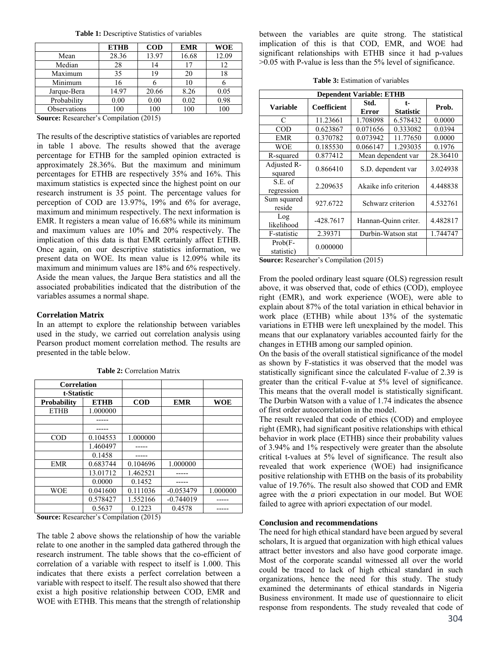**Table 1:** Descriptive Statistics of variables

|              | <b>ETHB</b> | $\bf{COD}$ | <b>EMR</b> | <b>WOE</b> |
|--------------|-------------|------------|------------|------------|
| Mean         | 28.36       | 13.97      | 16.68      | 12.09      |
| Median       | 28          | 14         | 17         | 12         |
| Maximum      | 35          | 19         | 20         | 18         |
| Minimum      | 16          |            | 10         |            |
| Jarque-Bera  | 14.97       | 20.66      | 8.26       | 0.05       |
| Probability  | 0.00        | 0.00       | 0.02       | 0.98       |
| Observations | 100         | 100        | 100        | 100        |

**Source:** Researcher's Compilation (2015)

The results of the descriptive statistics of variables are reported in table 1 above. The results showed that the average percentage for ETHB for the sampled opinion extracted is approximately 28.36%. But the maximum and minimum percentages for ETHB are respectively 35% and 16%. This maximum statistics is expected since the highest point on our research instrument is 35 point. The percentage values for perception of COD are 13.97%, 19% and 6% for average, maximum and minimum respectively. The next information is EMR. It registers a mean value of 16.68% while its minimum and maximum values are 10% and 20% respectively. The implication of this data is that EMR certainly affect ETHB. Once again, on our descriptive statistics information, we present data on WOE. Its mean value is 12.09% while its maximum and minimum values are 18% and 6% respectively. Aside the mean values, the Jarque Bera statistics and all the associated probabilities indicated that the distribution of the variables assumes a normal shape.

# **Correlation Matrix**

In an attempt to explore the relationship between variables used in the study, we carried out correlation analysis using Pearson product moment correlation method. The results are presented in the table below.

| <b>Correlation</b> |             |            |             |            |
|--------------------|-------------|------------|-------------|------------|
| t-Statistic        |             |            |             |            |
| <b>Probability</b> | <b>ETHB</b> | $\bf{COD}$ | <b>EMR</b>  | <b>WOE</b> |
| <b>ETHB</b>        | 1.000000    |            |             |            |
|                    |             |            |             |            |
|                    |             |            |             |            |
| $\rm{COD}$         | 0.104553    | 1.000000   |             |            |
|                    | 1.460497    |            |             |            |
|                    | 0.1458      |            |             |            |
| <b>EMR</b>         | 0.683744    | 0.104696   | 1.000000    |            |
|                    | 13.01712    | 1.462521   |             |            |
|                    | 0.0000      | 0.1452     |             |            |
| <b>WOE</b>         | 0.041600    | 0.111036   | $-0.053479$ | 1.000000   |
|                    | 0.578427    | 1.552166   | $-0.744019$ |            |
|                    | 0.5637      | 0.1223     | 0.4578      |            |

**Table 2:** Correlation Matrix

**Source:** Researcher's Compilation (2015)

The table 2 above shows the relationship of how the variable relate to one another in the sampled data gathered through the research instrument. The table shows that the co-efficient of correlation of a variable with respect to itself is 1.000. This indicates that there exists a perfect correlation between a variable with respect to itself. The result also showed that there exist a high positive relationship between COD, EMR and WOE with ETHB. This means that the strength of relationship

between the variables are quite strong. The statistical implication of this is that COD, EMR, and WOE had significant relationships with ETHB since it had p-values >0.05 with P-value is less than the 5% level of significance.

| <b>Table 3:</b> Estimation of variables |
|-----------------------------------------|
|-----------------------------------------|

| <b>Dependent Variable: ETHB</b>           |                                                              |                       |                          |          |  |  |  |
|-------------------------------------------|--------------------------------------------------------------|-----------------------|--------------------------|----------|--|--|--|
| <b>Variable</b>                           | Coefficient                                                  | Std.<br><b>Error</b>  | $t-$<br><b>Statistic</b> | Prob.    |  |  |  |
| C                                         | 11.23661                                                     | 1.708098              | 6.578432                 | 0.0000   |  |  |  |
| <b>COD</b>                                | 0.623867                                                     | 0.071656              | 0.333082                 | 0.0394   |  |  |  |
| <b>EMR</b>                                | 0.370782                                                     | 0.073942              | 11.77650                 | 0.0000   |  |  |  |
| WOE                                       | 0.185530                                                     | 0.066147              | 1.293035                 | 0.1976   |  |  |  |
| R-squared                                 | 0.877412                                                     | Mean dependent var    |                          | 28.36410 |  |  |  |
| Adjusted R-<br>squared                    | 0.866410                                                     | S.D. dependent var    |                          | 3.024938 |  |  |  |
| S.E. of<br>regression                     | 2.209635                                                     | Akaike info criterion |                          | 4.448838 |  |  |  |
| Sum squared<br>reside                     | 927.6722                                                     | Schwarz criterion     |                          | 4.532761 |  |  |  |
| Log<br>likelihood                         | $-428.7617$                                                  | Hannan-Ouinn criter.  |                          | 4.482817 |  |  |  |
| F-statistic                               | 2.39371                                                      | Durbin-Watson stat    |                          | 1.744747 |  |  |  |
| $Prob(F -$<br>statistic)<br>$\sim$ $\sim$ | 0.000000<br>$1 \ldots 2 \ldots 1 \ldots 1 \ldots 1 \ldots 1$ |                       |                          |          |  |  |  |

**Source:** Researcher's Compilation (2015)

From the pooled ordinary least square (OLS) regression result above, it was observed that, code of ethics (COD), employee right (EMR), and work experience (WOE), were able to explain about 87% of the total variation in ethical behavior in work place (ETHB) while about 13% of the systematic variations in ETHB were left unexplained by the model. This means that our explanatory variables accounted fairly for the changes in ETHB among our sampled opinion.

On the basis of the overall statistical significance of the model as shown by F-statistics it was observed that the model was statistically significant since the calculated F-value of 2.39 is greater than the critical F-value at 5% level of significance. This means that the overall model is statistically significant. The Durbin Watson with a value of 1.74 indicates the absence of first order autocorrelation in the model.

The result revealed that code of ethics (COD) and employee right (EMR), had significant positive relationships with ethical behavior in work place (ETHB) since their probability values of 3.94% and 1% respectively were greater than the absolute critical t-values at 5% level of significance. The result also revealed that work experience (WOE) had insignificance positive relationship with ETHB on the basis of its probability value of 19.76%. The result also showed that COD and EMR agree with the *a* priori expectation in our model. But WOE failed to agree with apriori expectation of our model.

# **Conclusion and recommendations**

The need for high ethical standard have been argued by several scholars, It is argued that organization with high ethical values attract better investors and also have good corporate image. Most of the corporate scandal witnessed all over the world could be traced to lack of high ethical standard in such organizations, hence the need for this study. The study examined the determinants of ethical standards in Nigeria Business environment. It made use of questionnaire to elicit response from respondents. The study revealed that code of